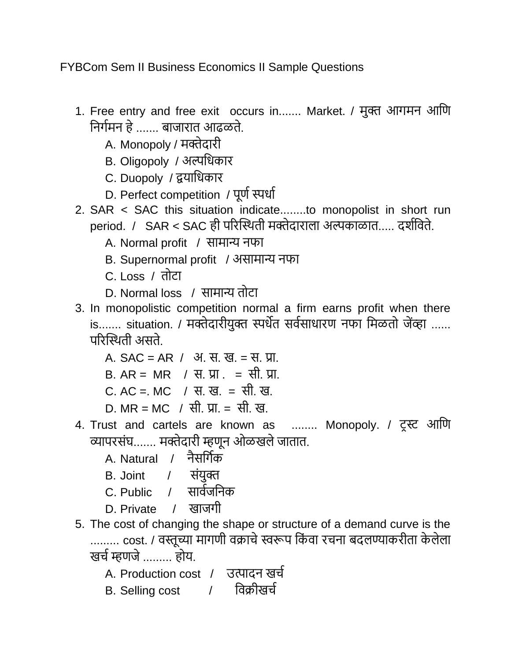FYBCom Sem II Business Economics II Sample Questions

- 1. Free entry and free exit occurs in....... Market. / मुक्त आगमन आणि णनगगमन हे....... बाजारात आढळते.
	- A. Monopoly / मक्तेदारी
	- B. Oligopoly / अल्पणिकार
	- C. Duopoly / द्वयाणिकार
	- D. Perfect competition / पूर्ण स्पर्धा
- 2. SAR < SAC this situation indicate........to monopolist in short run period. / SAR < SAC ही पररस्थिती मक्तेदाराला अल्पकाळात..... दर्गणिते.
	- A. Normal profit / सामान्य नफा
	- B. Supernormal profit / असामान्य नफा
	- C. Loss / तोटा
	- D. Normal loss / सामान्य तोटा
- 3. In monopolistic competition normal a firm earns profit when there is....... situation. / मक्तेदारीयुक्त स्पर्धेत सर्वसाधारण नफा मिळतो जेंव्हा ...... पररस्थिती असते.
	- A.  $SAC = AR / 3I$ . स. ख. = स. प्रा.
	- $B. AR = MR$  / स. प्रा. = सी. प्रा.
	- C. AC =. MC / स. ख. = सी. ख.
	- D. MR = MC / सी. प्रा. = सी. ख.
- 4. Trust and cartels are known as ........ Monopoly. / टरस्ट आणि व्यापरसंघ....... मक्तेदारी म्हिून ओळखलेजातात.
	- A. Natural / नैसर्गिक
	- B. Joint / संयुक्त
	- C. Public / सार्वजनिक
	- D. Private / खाजगी
- 5. The cost of changing the shape or structure of a demand curve is the ......... cost. / वस्तूच्या मागणी वक्राचे स्वरूप किंवा रचना बदलण्याकरीता केलेला खर्च म्हणजे ......... होय.
	- A. Production cost / उत्पादन खर्च
	- B. Selling cost / विक्रीखर्च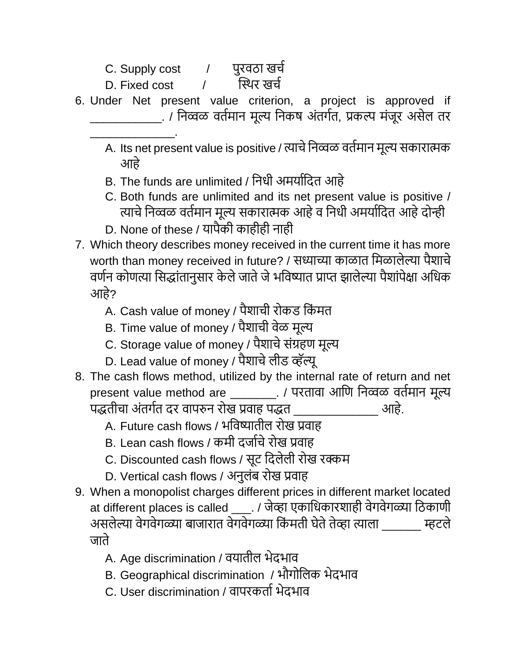- C. Supply cost  $\overline{a}$  पुरवठा खर्च
- D. Fixed cost the R<sup>u</sup>र खर्च

\_\_\_\_\_\_\_\_\_\_\_\_\_.

- 6. Under Net present value criterion, a project is approved if \_\_\_\_\_\_\_\_\_\_\_. / णनव्वळ ितगमान मूल्य णनकष अंतगगत, प्रकल्प मंजूर असेल तर
	- A. Its net present value is positive / त्याचे निव्वळ वर्तमान मूल्य सकारात्मक आहे
	- B. The funds are unlimited / निधी अमर्यादित आहे
	- C. Both funds are unlimited and its net present value is positive / त्याचे निव्वळ वर्तमान मूल्य सकारात्मक आहे व निधी अमर्यादित आहे दोन्ही
	- D. None of these / यापैकी काहीही नाही
- 7. Which theory describes money received in the current time it has more worth than money received in future? / सध्याच्या काळात मिळालेल्या पैशाचे वर्णन कोणत्या सिद्धांतानुसार केले जाते जे भविष्यात प्राप्त झालेल्या पैशांपेक्षा अधिक आहे?
	- A. Cash value of money / पैशाची रोकड किंमत
	- B. Time value of money / पैशाची वेळ मूल्य
	- C. Storage value of money / पैशाचे संग्रहण मूल्य
	- D. Lead value of money / पैशाचे लीड व्हॅल्यू
- 8. The cash flows method, utilized by the internal rate of return and net present value method are \_\_\_\_\_\_\_\_. / परतावा आणि निव्वळ वर्तमान मूल्य पद्तीचा अंतगगत दर िापरुन रोख प्रिाह पद्त \_\_\_\_\_\_\_\_\_\_\_\_\_ आहे.
	- A. Future cash flows / भविष्यातील रोख प्रवाह
	- B. Lean cash flows / कमी दर्जाचे रोख प्रवाह
	- C. Discounted cash flows / सूट दिलेली रोख रक्कम
	- D. Vertical cash flows / अनुलंब रोख प्रवाह
- 9. When a monopolist charges different prices in different market located at different places is called \_\_\_\_. / जेव्हा एकाधिकारशाही वेगवेगळ्या ठिकाणी असलेल्या वेगवेगळ्या बाजारात वेगवेगळ्या किंमती घेते तेव्हा त्याला \_\_\_\_\_\_ म्हटले जाते
	- A. Age discrimination / वयातील भेदभाव
	- B. Geographical discrimination / भौगोलिक भेदभाव
	- C. User discrimination / वापरकर्ता भेदभाव